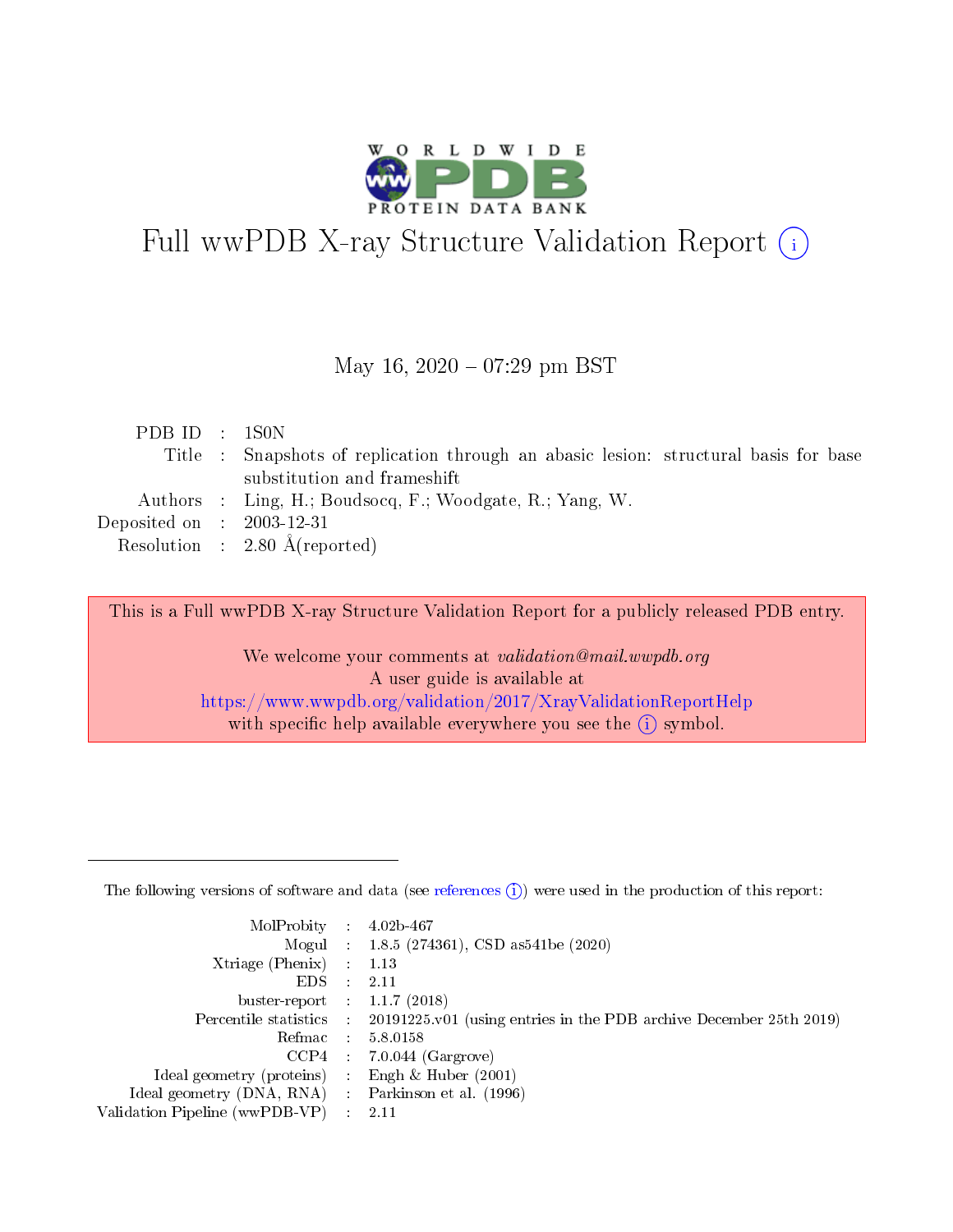

# Full wwPDB X-ray Structure Validation Report (i)

#### May 16,  $2020 - 07:29$  pm BST

| PDB ID : 1S0N               |                                                                                      |
|-----------------------------|--------------------------------------------------------------------------------------|
|                             | Title : Snapshots of replication through an abasic lesson: structural basis for base |
|                             | substitution and frameshift                                                          |
|                             | Authors : Ling, H.; Boudsocq, F.; Woodgate, R.; Yang, W.                             |
| Deposited on : $2003-12-31$ |                                                                                      |
|                             | Resolution : $2.80 \text{ Å}$ (reported)                                             |

This is a Full wwPDB X-ray Structure Validation Report for a publicly released PDB entry.

We welcome your comments at validation@mail.wwpdb.org A user guide is available at <https://www.wwpdb.org/validation/2017/XrayValidationReportHelp> with specific help available everywhere you see the  $(i)$  symbol.

The following versions of software and data (see [references](https://www.wwpdb.org/validation/2017/XrayValidationReportHelp#references)  $(1)$ ) were used in the production of this report:

| MolProbity                     | $\mathcal{L}_{\rm{max}}$ | $4.02b - 467$                                                                |
|--------------------------------|--------------------------|------------------------------------------------------------------------------|
|                                |                          | Mogul : $1.8.5$ (274361), CSD as 541be (2020)                                |
| $X$ triage (Phenix) :          |                          | 1.13                                                                         |
| EDS.                           |                          | 2.11                                                                         |
| buster-report : $1.1.7$ (2018) |                          |                                                                              |
| Percentile statistics :        |                          | $20191225 \text{ v}01$ (using entries in the PDB archive December 25th 2019) |
| Refmac                         |                          | 5.8.0158                                                                     |
| $CCP4$ :                       |                          | $7.0.044$ (Gargrove)                                                         |
| Ideal geometry (proteins) :    |                          | Engh $\&$ Huber (2001)                                                       |
| Ideal geometry (DNA, RNA) :    |                          | Parkinson et al. (1996)                                                      |
| Validation Pipeline (wwPDB-VP) | $\mathcal{L}$            | -2.11                                                                        |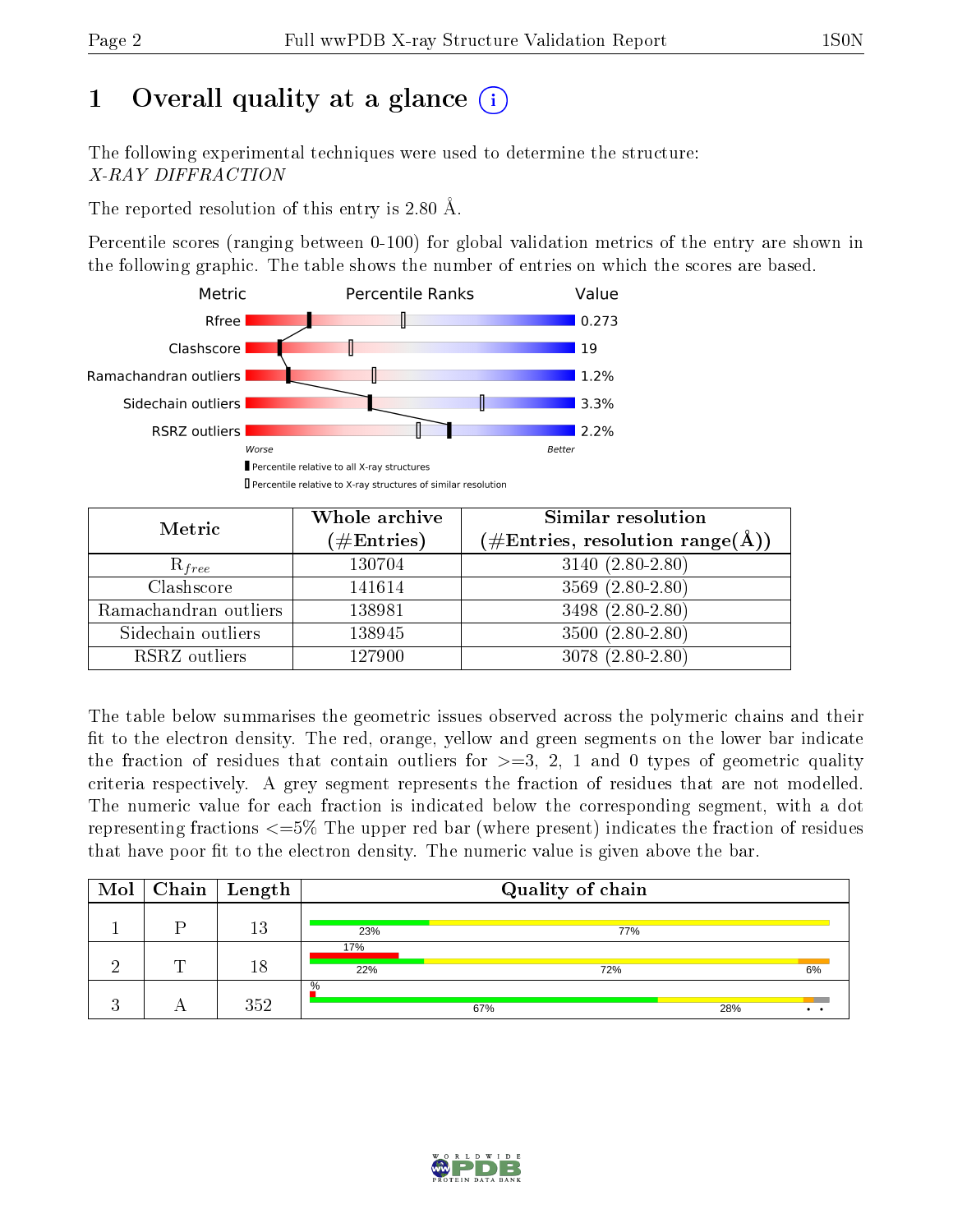# 1 [O](https://www.wwpdb.org/validation/2017/XrayValidationReportHelp#overall_quality)verall quality at a glance  $(i)$

The following experimental techniques were used to determine the structure: X-RAY DIFFRACTION

The reported resolution of this entry is 2.80 Å.

Percentile scores (ranging between 0-100) for global validation metrics of the entry are shown in the following graphic. The table shows the number of entries on which the scores are based.



| Metric                | Whole archive<br>$(\#\text{Entries})$ | Similar resolution<br>$(\#\text{Entries},\,\text{resolution}\,\,\text{range}(\textup{\AA}))$ |
|-----------------------|---------------------------------------|----------------------------------------------------------------------------------------------|
| $R_{free}$            | 130704                                | $3140(2.80-2.80)$                                                                            |
| Clashscore            | 141614                                | $3569(2.80-2.80)$                                                                            |
| Ramachandran outliers | 138981                                | $3498(2.80-2.80)$                                                                            |
| Sidechain outliers    | 138945                                | $3500(2.80-2.80)$                                                                            |
| RSRZ outliers         | 127900                                | $3078(2.80-2.80)$                                                                            |

The table below summarises the geometric issues observed across the polymeric chains and their fit to the electron density. The red, orange, yellow and green segments on the lower bar indicate the fraction of residues that contain outliers for  $>=3, 2, 1$  and 0 types of geometric quality criteria respectively. A grey segment represents the fraction of residues that are not modelled. The numeric value for each fraction is indicated below the corresponding segment, with a dot representing fractions  $\epsilon=5\%$  The upper red bar (where present) indicates the fraction of residues that have poor fit to the electron density. The numeric value is given above the bar.

|   | $\boxed{\text{Mol}}$ Chain   Length |            | Quality of chain |     |    |
|---|-------------------------------------|------------|------------------|-----|----|
|   | 13                                  | 23%        | 77%              |     |    |
| ┯ | 18                                  | 17%<br>22% | 72%              |     | 6% |
|   | 352                                 | $\%$       | 67%              | 28% |    |

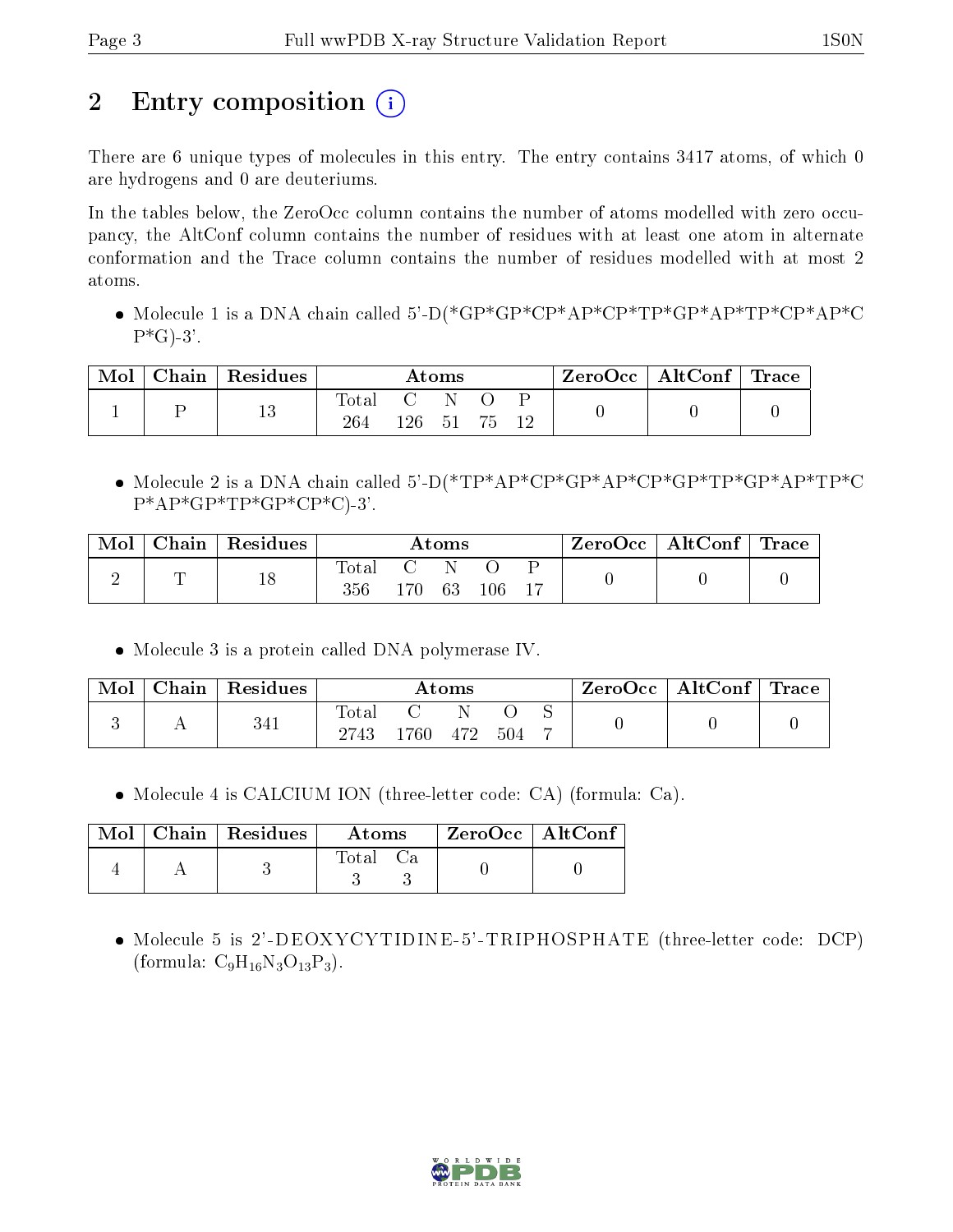# 2 Entry composition  $\left( \cdot \right)$

There are 6 unique types of molecules in this entry. The entry contains 3417 atoms, of which 0 are hydrogens and 0 are deuteriums.

In the tables below, the ZeroOcc column contains the number of atoms modelled with zero occupancy, the AltConf column contains the number of residues with at least one atom in alternate conformation and the Trace column contains the number of residues modelled with at most 2 atoms.

 Molecule 1 is a DNA chain called 5'-D(\*GP\*GP\*CP\*AP\*CP\*TP\*GP\*AP\*TP\*CP\*AP\*C  $P*G$ -3'.

| Mol | Chain | Residues |              |      | Atoms |    |  | ZeroOcc   AltConf   Trace |  |
|-----|-------|----------|--------------|------|-------|----|--|---------------------------|--|
|     |       | 19<br>TΟ | Totar<br>264 | 126- | 51    | 75 |  |                           |  |

 Molecule 2 is a DNA chain called 5'-D(\*TP\*AP\*CP\*GP\*AP\*CP\*GP\*TP\*GP\*AP\*TP\*C  $P^*AP^*GP^*TP^*GP^*CP^*C)^-3'.$ 

| Mol | $\vert$ Chain $\vert$ Residues |                  |       | Atoms |     | $\text{ZeroOcc} \mid \text{AltConf} \mid \text{Trace}$ |  |
|-----|--------------------------------|------------------|-------|-------|-----|--------------------------------------------------------|--|
|     | 18                             | Total<br>$356\,$ | 170 - | -63-  | 106 |                                                        |  |

Molecule 3 is a protein called DNA polymerase IV.

| Mol | Chain | Residues |                        |               | $\rm{Atoms}$ |      | $\mid$ ZeroOcc   AltConf   Trace |  |
|-----|-------|----------|------------------------|---------------|--------------|------|----------------------------------|--|
|     |       | 341      | $_{\rm Total}$<br>2743 | $^{\circ}760$ | 472          | -504 |                                  |  |

Molecule 4 is CALCIUM ION (three-letter code: CA) (formula: Ca).

|  | Mol   Chain   Residues | Atoms | $ZeroOcc$   AltConf |  |
|--|------------------------|-------|---------------------|--|
|  |                        | Fotal |                     |  |

 Molecule 5 is 2'-DEOXYCYTIDINE-5'-TRIPHOSPHATE (three-letter code: DCP) (formula:  $C_9H_{16}N_3O_{13}P_3$ ).

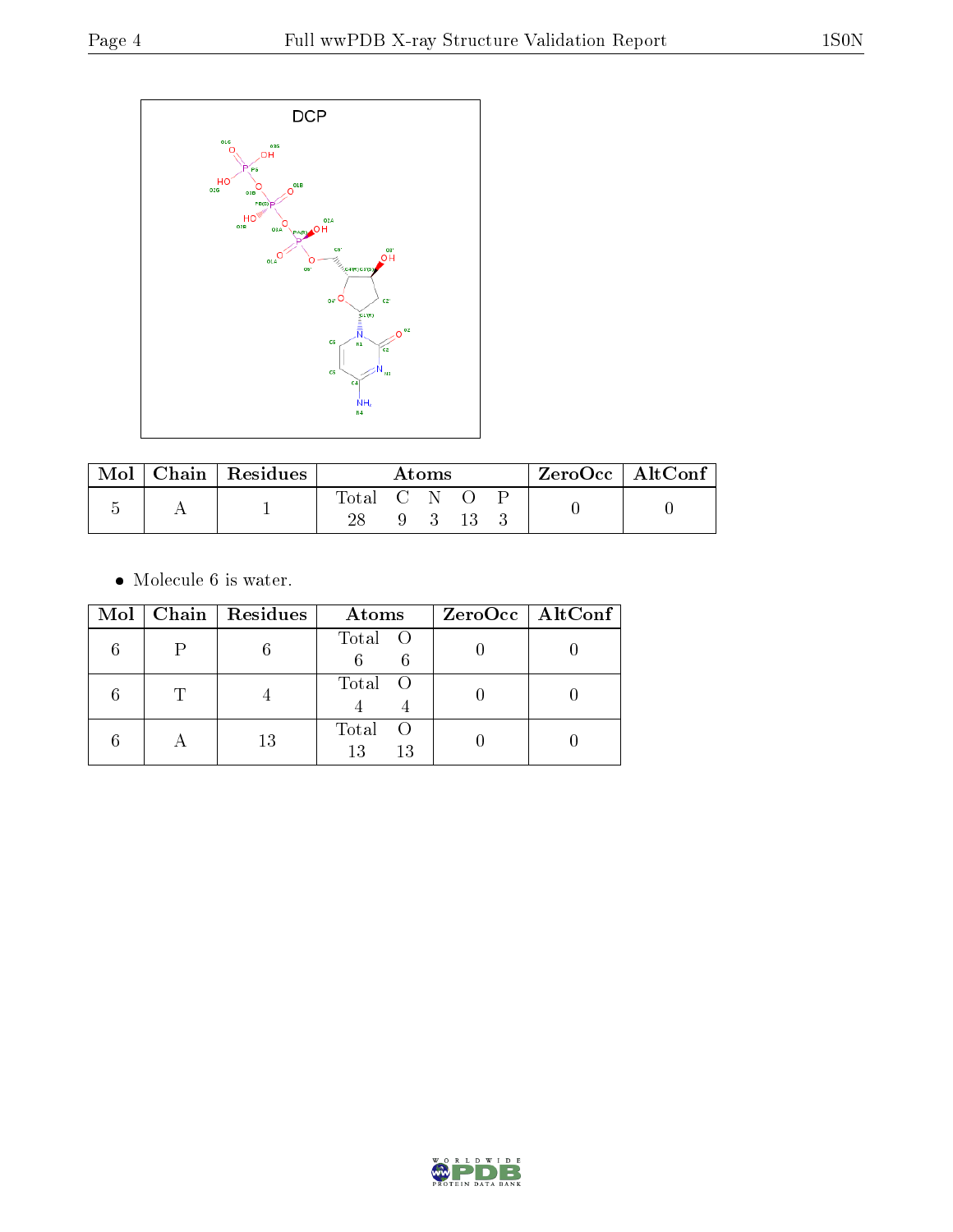

| Mol | Chain   Residues | Atoms       |  |             | ZeroOcc   AltConf |  |  |  |
|-----|------------------|-------------|--|-------------|-------------------|--|--|--|
|     |                  | Total C N O |  |             |                   |  |  |  |
|     |                  |             |  | $9 \quad 3$ | -13-              |  |  |  |

 $\bullet\,$  Molecule 6 is water.

|           | Mol   Chain   Residues | Atoms                     | $ZeroOcc \   \ AltConf \  $ |
|-----------|------------------------|---------------------------|-----------------------------|
|           |                        | Total O                   |                             |
|           |                        | Total O                   |                             |
| $\forall$ | 13                     | Total<br>- ()<br>13<br>13 |                             |

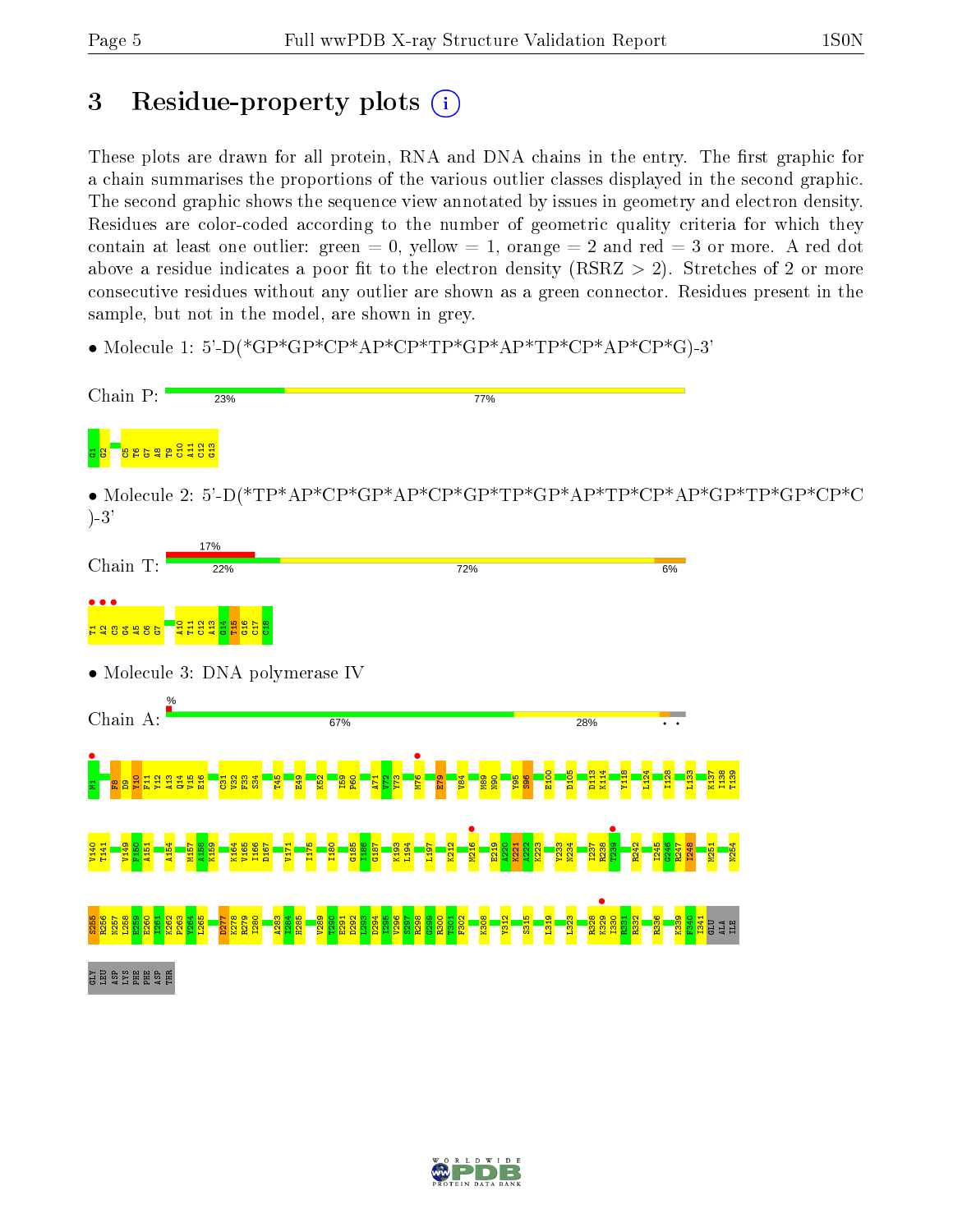# 3 Residue-property plots  $(i)$

These plots are drawn for all protein, RNA and DNA chains in the entry. The first graphic for a chain summarises the proportions of the various outlier classes displayed in the second graphic. The second graphic shows the sequence view annotated by issues in geometry and electron density. Residues are color-coded according to the number of geometric quality criteria for which they contain at least one outlier: green  $= 0$ , yellow  $= 1$ , orange  $= 2$  and red  $= 3$  or more. A red dot above a residue indicates a poor fit to the electron density (RSRZ  $> 2$ ). Stretches of 2 or more consecutive residues without any outlier are shown as a green connector. Residues present in the sample, but not in the model, are shown in grey.

• Molecule 1: 5'-D(\*GP\*GP\*CP\*AP\*CP\*TP\*GP\*AP\*TP\*CP\*AP\*CP\*G)-3'



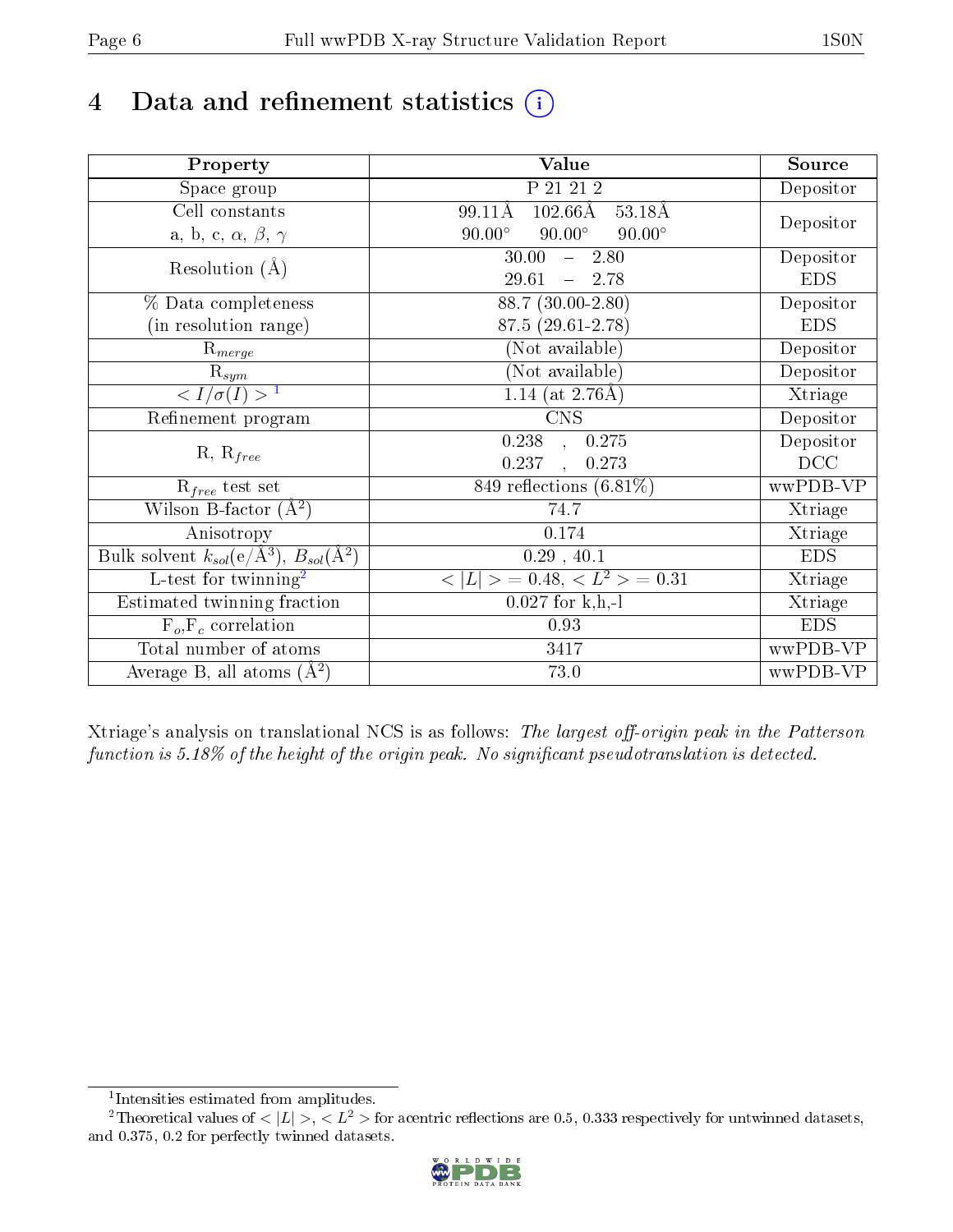# 4 Data and refinement statistics  $(i)$

| Property                                                             | Value                                           | Source     |
|----------------------------------------------------------------------|-------------------------------------------------|------------|
| Space group                                                          | P 21 21 2                                       | Depositor  |
| Cell constants                                                       | $102.66\text{\AA}$<br>99.11Å<br>53.18Å          |            |
| a, b, c, $\alpha$ , $\beta$ , $\gamma$                               | $90.00^\circ$<br>$90.00^\circ$<br>$90.00^\circ$ | Depositor  |
| Resolution $(A)$                                                     | 30.00<br>$-2.80$                                | Depositor  |
|                                                                      | 29.61<br>$-2.78$                                | <b>EDS</b> |
| % Data completeness                                                  | $88.7(30.00-2.80)$                              | Depositor  |
| (in resolution range)                                                | 87.5 (29.61-2.78)                               | <b>EDS</b> |
| $\mathrm{R}_{merge}$                                                 | (Not available)                                 | Depositor  |
| $\mathrm{R}_{sym}$                                                   | (Not available)                                 | Depositor  |
| $\langle I/\sigma(I) \rangle$ <sup>1</sup>                           | 1.14 (at $2.76\text{\AA}$ )                     | Xtriage    |
| Refinement program                                                   | $\overline{\text{CNS}}$                         | Depositor  |
|                                                                      | 0.238<br>0.275<br>$\overline{\phantom{a}}$      | Depositor  |
| $R, R_{free}$                                                        | 0.237<br>0.273<br>$\ddot{\phantom{a}}$          | DCC        |
| $\mathcal{R}_{free}$ test set                                        | $849$ reflections $(6.81\%)$                    | wwPDB-VP   |
| Wilson B-factor $(A^2)$                                              | 74.7                                            | Xtriage    |
| Anisotropy                                                           | 0.174                                           | Xtriage    |
| Bulk solvent $k_{sol}(e/\mathring{A}^3)$ , $B_{sol}(\mathring{A}^2)$ | 0.29, 40.1                                      | <b>EDS</b> |
| $\overline{\text{L-test}$ for twinning <sup>2</sup>                  | $< L >$ = 0.48, $< L2 >$ = 0.31                 | Xtriage    |
| Estimated twinning fraction                                          | $0.027$ for k,h,-l                              | Xtriage    |
| $F_o, F_c$ correlation                                               | 0.93                                            | <b>EDS</b> |
| Total number of atoms                                                | 3417                                            | wwPDB-VP   |
| Average B, all atoms $(A^2)$                                         | 73.0                                            | wwPDB-VP   |

Xtriage's analysis on translational NCS is as follows: The largest off-origin peak in the Patterson function is  $5.18\%$  of the height of the origin peak. No significant pseudotranslation is detected.

<sup>&</sup>lt;sup>2</sup>Theoretical values of  $\langle |L| \rangle$ ,  $\langle L^2 \rangle$  for acentric reflections are 0.5, 0.333 respectively for untwinned datasets, and 0.375, 0.2 for perfectly twinned datasets.



<span id="page-5-1"></span><span id="page-5-0"></span><sup>1</sup> Intensities estimated from amplitudes.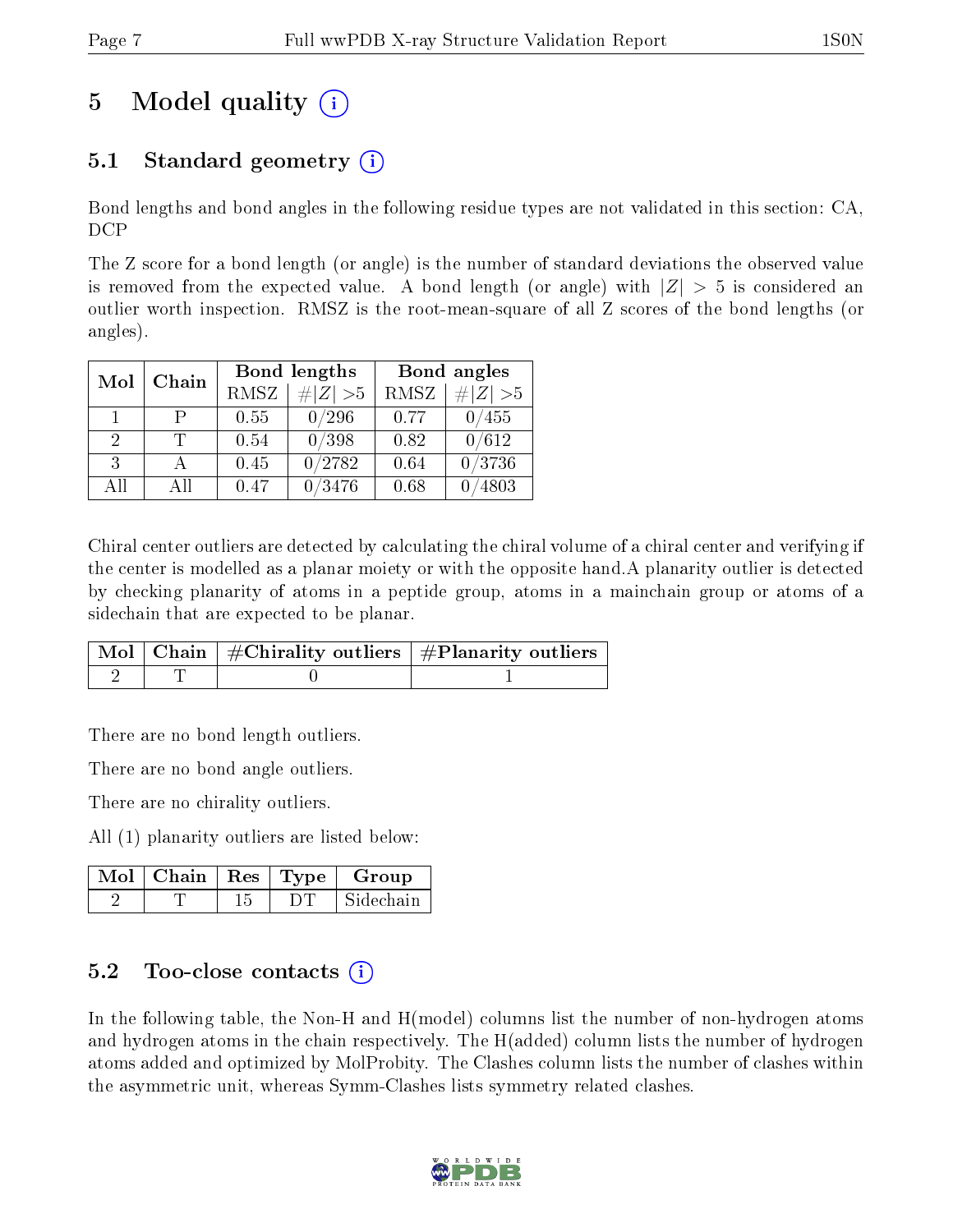# 5 Model quality  $(i)$

## 5.1 Standard geometry (i)

Bond lengths and bond angles in the following residue types are not validated in this section: CA, DCP

The Z score for a bond length (or angle) is the number of standard deviations the observed value is removed from the expected value. A bond length (or angle) with  $|Z| > 5$  is considered an outlier worth inspection. RMSZ is the root-mean-square of all Z scores of the bond lengths (or angles).

| Mol | Chain |             | Bond lengths                 | Bond angles |             |  |
|-----|-------|-------------|------------------------------|-------------|-------------|--|
|     |       | <b>RMSZ</b> | $\vert \# \vert Z \vert > 5$ | <b>RMSZ</b> | # $ Z  > 5$ |  |
| 1.  | P     | 0.55        | 0/296                        | 0.77        | 455         |  |
| 2   |       | 0.54        | 0/398                        | 0.82        | 0/612       |  |
| 3   |       | 0.45        | 0/2782                       | 0.64        | 0/3736      |  |
| All | ΑĦ    | $0.47\,$    | /3476                        | 0.68        | 4803        |  |

Chiral center outliers are detected by calculating the chiral volume of a chiral center and verifying if the center is modelled as a planar moiety or with the opposite hand.A planarity outlier is detected by checking planarity of atoms in a peptide group, atoms in a mainchain group or atoms of a sidechain that are expected to be planar.

|  | $\overline{\mid}$ Mol $\mid$ Chain $\mid$ #Chirality outliers $\mid$ #Planarity outliers $\mid$ |
|--|-------------------------------------------------------------------------------------------------|
|  |                                                                                                 |

There are no bond length outliers.

There are no bond angle outliers.

There are no chirality outliers.

All (1) planarity outliers are listed below:

|  |  | $\text{Mol}$   Chain   Res   Type   Group |
|--|--|-------------------------------------------|
|  |  | Sidechain                                 |

### 5.2 Too-close contacts (i)

In the following table, the Non-H and H(model) columns list the number of non-hydrogen atoms and hydrogen atoms in the chain respectively. The H(added) column lists the number of hydrogen atoms added and optimized by MolProbity. The Clashes column lists the number of clashes within the asymmetric unit, whereas Symm-Clashes lists symmetry related clashes.

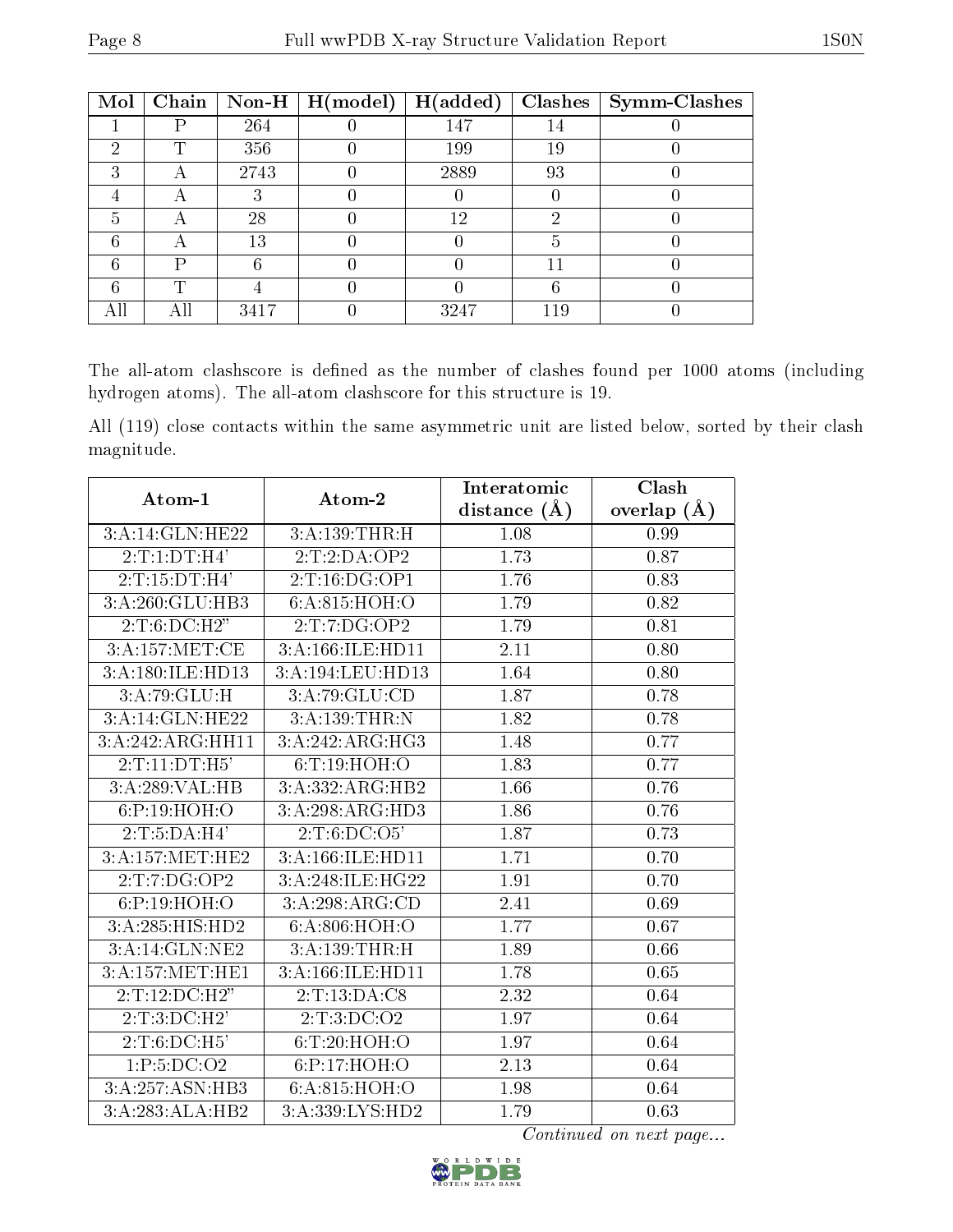| Mol | Chain     |      | $\vert$ Non-H $\vert$ H(model) | H(added) |     | Clashes   Symm-Clashes |
|-----|-----------|------|--------------------------------|----------|-----|------------------------|
|     |           | 264  |                                | 147      | 14  |                        |
| ച   | T         | 356  |                                | 199      | 19  |                        |
| ົ   | А         | 2743 |                                | 2889     | 93  |                        |
|     | А         |      |                                |          |     |                        |
| 5   | $\forall$ | 28   |                                | 12       | ച   |                        |
|     | А         | 13   |                                |          |     |                        |
| հ   | D         |      |                                |          | 11  |                        |
|     | T         |      |                                |          | 6   |                        |
|     |           | 3417 |                                | 3247     | 119 |                        |

The all-atom clashscore is defined as the number of clashes found per 1000 atoms (including hydrogen atoms). The all-atom clashscore for this structure is 19.

All (119) close contacts within the same asymmetric unit are listed below, sorted by their clash magnitude.

| Atom-1            | Atom-2                               | Interatomic       | Clash         |
|-------------------|--------------------------------------|-------------------|---------------|
|                   |                                      | distance $(\AA)$  | overlap $(A)$ |
| 3:A:14:GLN:HE22   | 3:A:139:THR:H                        | 1.08              | 0.99          |
| 2:T:1:DT:H4'      | 2:T:2:DA:OP2                         | 1.73              | 0.87          |
| 2:T:15:DT:H4'     | 2:T:16:DG:OP1                        | 1.76              | 0.83          |
| 3:A:260:GLU:HB3   | 6:A:815:HOH:O                        | 1.79              | 0.82          |
| 2:T:6:D C:H2"     | 2:T:7:DG:OP2                         | 1.79              | 0.81          |
| 3:A:157:MET:CE    | 3:A:166:ILE:HD11                     | 2.11              | 0.80          |
| 3:A:180:ILE:HD13  | 3:A:194:LEU:HD13                     | 1.64              | 0.80          |
| 3:A:79:GLU:H      | 3:A:79:GLU:CD                        | 1.87              | 0.78          |
| 3:A:14:GLN:HE22   | 3:A:139:THR:N                        | $\overline{1.82}$ | 0.78          |
| 3:A:242:ARG:HH11  | 3:A:242:ARG:HG3                      | 1.48              | 0.77          |
| 2:T:11:DT:H5'     | 6: T: 19: HOH:O                      | 1.83              | 0.77          |
| 3:A:289:VAL:HB    | 3:A:332:ARG:HB2                      | 1.66              | $0.76\,$      |
| 6:P:19:HOH:O      | 3:A:298:ARG:HD3                      | 1.86              | 0.76          |
| 2:T:5:DA:H4'      | 2:T:6:DC:O5'                         | 1.87              | 0.73          |
| 3:A:157:MET:HE2   | 3:A:166:ILE:HD11                     | 1.71              | 0.70          |
| 2:T:TO:OP2        | 3:A:248:ILE:HG22                     | 1.91              | 0.70          |
| 6:P:19:HOH:O      | 3:A:298:ARG:CD                       | 2.41              | 0.69          |
| 3:A:285:HIS:HD2   | 6:A:806:HOH:O                        | 1.77              | $0.67\,$      |
| 3:A:14:GLN:NE2    | 3:A:139:THR:H                        | 1.89              | 0.66          |
| 3: A:157: MET:HE1 | 3:A:166:ILE:HD11                     | 1.78              | 0.65          |
| 2:T:12:DC:H2"     | 2:T:13:DA:C8                         | $\overline{2.32}$ | 0.64          |
| 2:T:3:D C:H2'     | 2:T:3:D <sub>C</sub> :O <sub>2</sub> | 1.97              | 0.64          |
| 2:T:6:DC:H5'      | 6: T:20: HOH:O                       | 1.97              | 0.64          |
| 1:P:5:DC:O2       | 6:P:17:HOH:O                         | $\overline{2.13}$ | $\,0.64\,$    |
| 3:A:257:ASN:HB3   | 6:A:815:HOH:O                        | 1.98              | 0.64          |
| 3:A:283:ALA:HB2   | 3: A: 339: LYS: HD2                  | 1.79              | 0.63          |

Continued on next page...

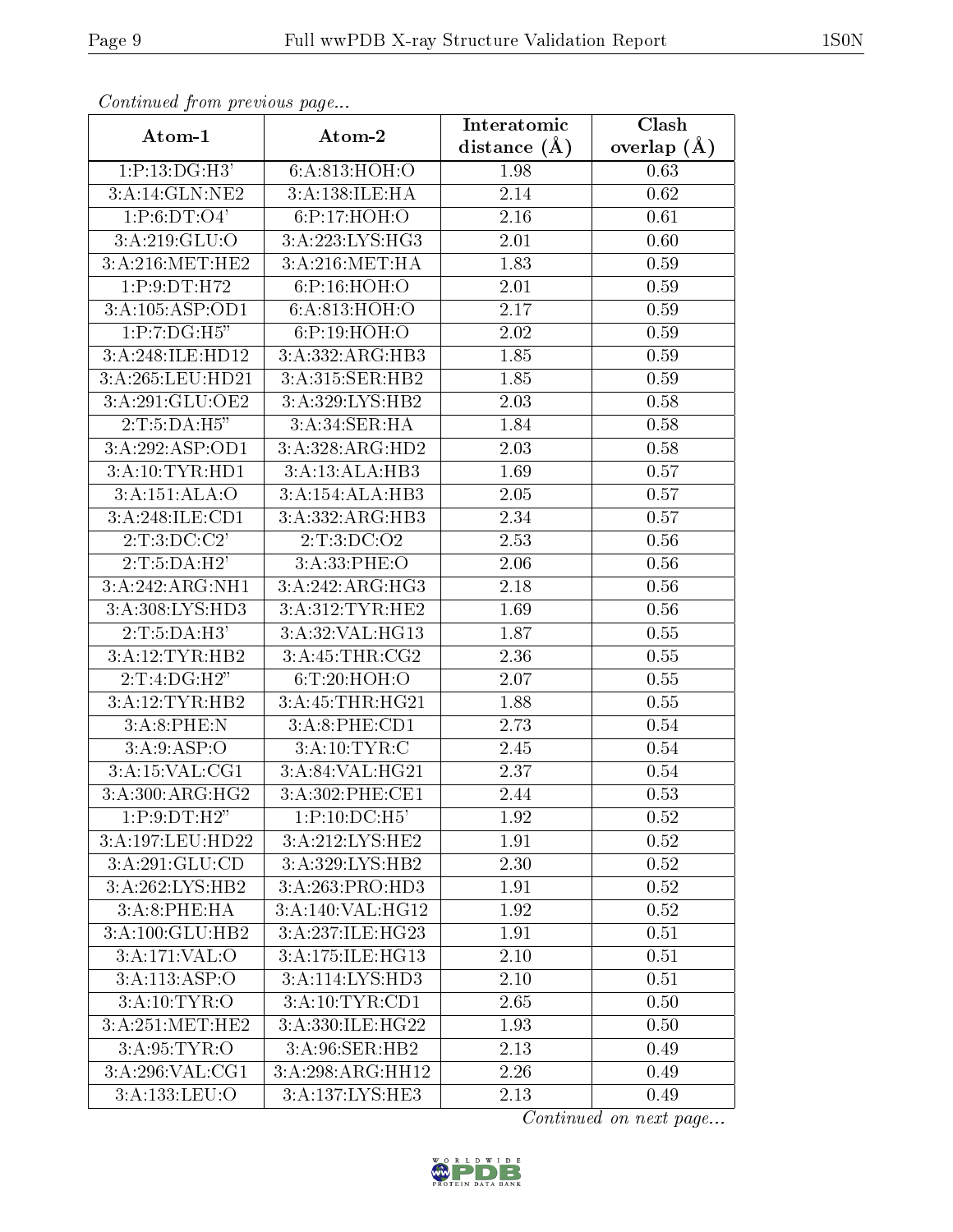| Conninuou from previous page       |                   | Interatomic      | Clash           |
|------------------------------------|-------------------|------------------|-----------------|
| Atom-1                             | Atom-2            | distance $(\AA)$ | overlap $(\AA)$ |
| 1:P:13:DG:H3'                      | 6:A:813:HOH:O     | 1.98             | 0.63            |
| $3:A:14:GLN:\overline{\text{NE2}}$ | 3:A:138:ILE:HA    | 2.14             | 0.62            |
| 1: P: 6: DT: O4'                   | 6:P:17:HOH:O      | 2.16             | 0.61            |
| 3:A:219:GLU:O                      | 3:A:223:LYS:HG3   | 2.01             | 0.60            |
| 3:A:216:MET:HE2                    | 3:A:216:MET:HA    | 1.83             | 0.59            |
| 1:P:9:DT:H72                       | 6:P:16:HOH:O      | 2.01             | 0.59            |
| 3:A:105:ASP:OD1                    | 6:A:813:HOH:O     | 2.17             | 0.59            |
| 1:P:7:DG:H5"                       | 6:P:19:HOH:O      | 2.02             | 0.59            |
| 3:A:248:ILE:HD12                   | 3:A:332:ARG:HB3   | 1.85             | 0.59            |
| 3:A:265:LEU:HD21                   | 3:A:315:SER:HB2   | 1.85             | 0.59            |
| 3:A:291:GLU:OE2                    | 3:A:329:LYS:HB2   | 2.03             | 0.58            |
| 2:T:5:DA:H5"                       | 3:A:34:SER:HA     | 1.84             | 0.58            |
| 3:A:292:ASP:OD1                    | 3:A:328:ARG:HD2   | 2.03             | 0.58            |
| 3:A:10:TYR:HD1                     | 3:A:13:ALA:HB3    | 1.69             | 0.57            |
| 3:A:151:ALA:O                      | 3:A:154:ALA:HB3   | 2.05             | 0.57            |
| 3:A:248:ILE:CD1                    | 3:A:332:ARG:HB3   | 2.34             | 0.57            |
| 2: T: 3: DC: C2'                   | 2: T: 3: DC: O2   | 2.53             | 0.56            |
| 2:T:5:DA:H2'                       | 3: A:33: PHE:O    | 2.06             | 0.56            |
| 3:A:242:ARG:NH1                    | 3: A:242: ARG:HG3 | 2.18             | 0.56            |
| 3:A:308:LYS:HD3                    | 3:A:312:TYR:HE2   | 1.69             | 0.56            |
| 2:T:5:DA:H3'                       | 3:A:32:VAL:HG13   | 1.87             | 0.55            |
| 3:A:12:TYR:HB2                     | 3:A:45:THR:CG2    | 2.36             | 0.55            |
| 2:T:4:DG:H2"                       | 6: T:20: HOH:O    | 2.07             | 0.55            |
| 3:A:12:TYR:HB2                     | 3:A:45:THR:HG21   | 1.88             | 0.55            |
| 3:A:8:PHE:N                        | 3:A:8:PHE:CD1     | 2.73             | 0.54            |
| 3:A:9:ASP:O                        | 3:A:10:TYR:C      | 2.45             | 0.54            |
| 3:A:15:VAL:CG1                     | 3:A:84:VAL:HG21   | 2.37             | 0.54            |
| 3:A:300:ARG:HG2                    | 3:A:302:PHE:CE1   | 2.44             | 0.53            |
| 1:P:9:DT:H2"                       | 1:P:10:DC:H5'     | 1.92             | 0.52            |
| 3:A:197:LEU:HD22                   | 3:A:212:LYS:HE2   | 1.91             | $0.52\,$        |
| 3:A:291:GLU:CD                     | 3:A:329:LYS:HB2   | 2.30             | 0.52            |
| 3:A:262:LYS:HB2                    | 3:A:263:PRO:HD3   | 1.91             | 0.52            |
| 3:A:8:PHE:HA                       | 3:A:140:VAL:HG12  | 1.92             | 0.52            |
| 3:A:100:GLU:HB2                    | 3:A:237:ILE:HG23  | 1.91             | 0.51            |
| 3:A:171:VAL:O                      | 3:A:175:ILE:HG13  | 2.10             | 0.51            |
| 3:A:113:ASP:O                      | 3:A:114:LYS:HD3   | 2.10             | 0.51            |
| 3:A:10:TYR:O                       | 3:A:10:TYR:CD1    | 2.65             | 0.50            |
| 3: A:251:MET:HE2                   | 3:A:330:ILE:HG22  | 1.93             | 0.50            |
| 3: A:95: TYR:O                     | 3:A:96:SER:HB2    | 2.13             | 0.49            |
| 3:A:296:VAL:CG1                    | 3:A:298:ARG:HH12  | 2.26             | 0.49            |
| 3:A:133:LEU:O                      | 3:A:137:LYS:HE3   | 2.13             | 0.49            |

Continued from previous page.

Continued on next page...

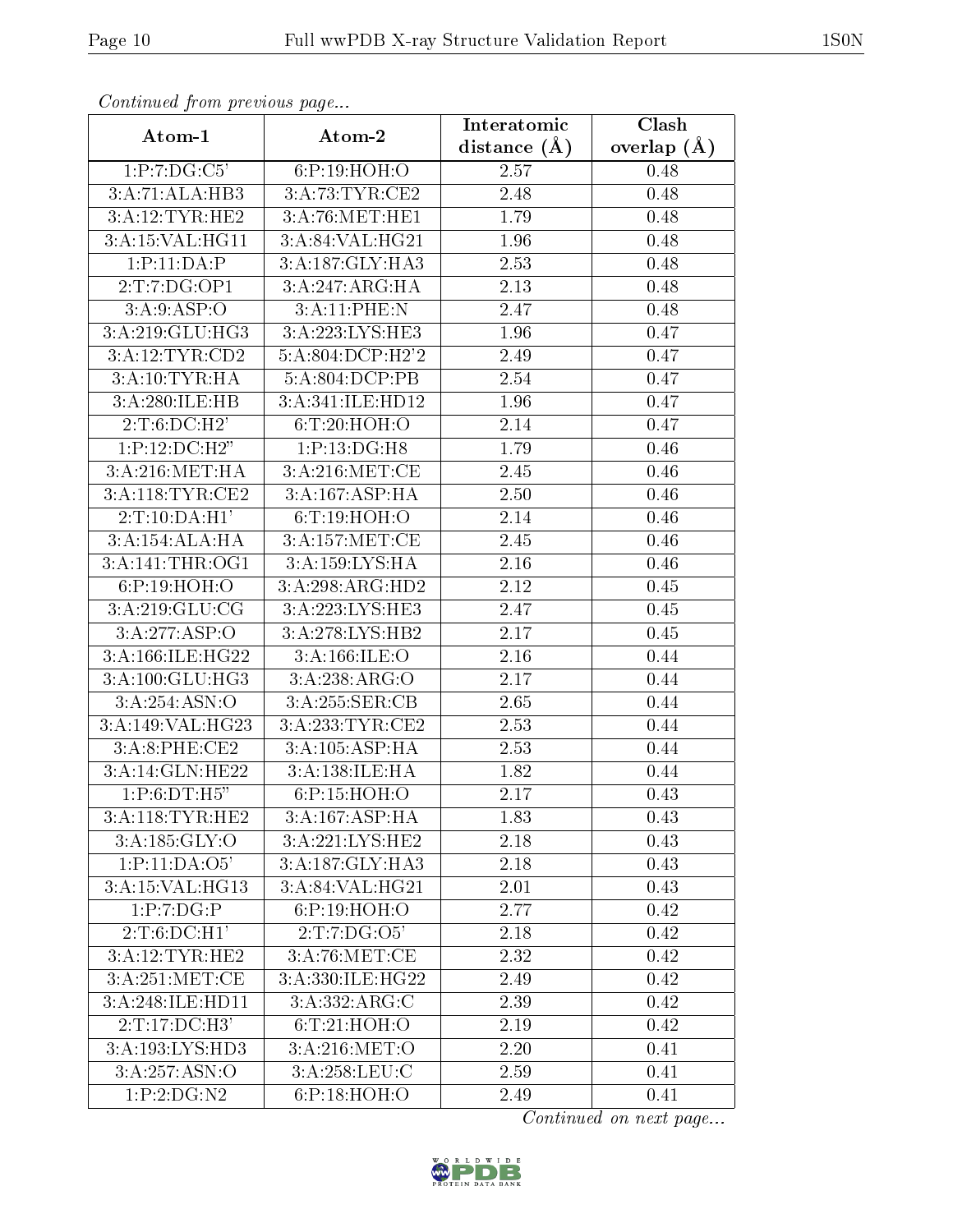| Continuea jiom previous page |                  | Clash<br>Interatomic |               |  |
|------------------------------|------------------|----------------------|---------------|--|
| Atom-1                       | Atom-2           | distance $(\AA)$     | overlap $(A)$ |  |
| 1:P:7:DG:C5'                 | 6:P:19:HOH:O     | 2.57                 | 0.48          |  |
| 3:A:71:ALA:HB3               | 3:A:73:TYR:CE2   | 2.48                 | 0.48          |  |
| 3:A:12:TYR:HE2               | 3:A:76:MET:HE1   | 1.79                 | 0.48          |  |
| 3:A:15:VAL:HG11              | 3:A:84:VAL:HG21  | 1.96                 | 0.48          |  |
| 1:P:11:DA:P                  | 3:A:187:GLY:HA3  | 2.53                 | 0.48          |  |
| 2:T:7:DG:OP1                 | 3:A:247:ARG:HA   | 2.13                 | 0.48          |  |
| 3: A:9: ASP:O                | 3:A:11:PHE:N     | 2.47                 | 0.48          |  |
| 3:A:219:GLU:HG3              | 3:A:223:LYS:HE3  | 1.96                 | 0.47          |  |
| 3:A:12:TYR:CD2               | 5:A:804:DCP:H2'2 | 2.49                 | 0.47          |  |
| 3:A:10:TYR:HA                | 5:A:804:DCP:PB   | 2.54                 | 0.47          |  |
| 3:A:280:ILE:HB               | 3:A:341:ILE:HD12 | 1.96                 | 0.47          |  |
| 2:T:6:D C:H2'                | 6: T:20: HOH:O   | 2.14                 | 0.47          |  |
| 1:P:12:DC:H2"                | 1:P:13:DG:H8     | 1.79                 | 0.46          |  |
| 3:A:216:MET:HA               | 3: A:216: MET:CE | 2.45                 | 0.46          |  |
| 3:A:118:TYR:CE2              | 3:A:167:ASP:HA   | 2.50                 | 0.46          |  |
| 2:T:10:DA:H1'                | 6: T: 19: HOH:O  | 2.14                 | 0.46          |  |
| 3:A:154:ALA:HA               | 3:A:157:MET:CE   | $\overline{2.45}$    | 0.46          |  |
| 3: A:141:THR:OG1             | 3:A:159:LYS:HA   | 2.16                 | 0.46          |  |
| 6:P:19:HOH:O                 | 3:A:298:ARG:HD2  | 2.12                 | 0.45          |  |
| 3:A:219:GLU:CG               | 3:A:223:LYS:HE3  | 2.47                 | 0.45          |  |
| 3:A:277:ASP:O                | 3:A:278:LYS:HB2  | 2.17                 | 0.45          |  |
| 3:A:166:ILE:HG22             | 3: A: 166: ILE:O | 2.16                 | 0.44          |  |
| 3:A:100:GLU:HG3              | 3:A:238:ARG:O    | 2.17                 | 0.44          |  |
| 3:A:254:ASN:O                | 3:A:255:SER:CB   | 2.65                 | 0.44          |  |
| 3:A:149:VAL:HG23             | 3:A:233:TYR:CE2  | 2.53                 | 0.44          |  |
| 3:A:8:PHE:CE2                | 3:A:105:ASP:HA   | 2.53                 | 0.44          |  |
| 3:A:14:GLN:HE22              | 3:A:138:ILE:HA   | 1.82                 | 0.44          |  |
| 1:P:6:DT:H5"                 | 6:P:15:HOH:O     | 2.17                 | 0.43          |  |
| 3:A:118:TYR:HE2              | 3:A:167:ASP:HA   | 1.83                 | 0.43          |  |
| 3:A:185:GLY:O                | 3:A:221:LYS:HE2  | 2.18                 | 0.43          |  |
| 1:P:11:DA:O5'                | 3:A:187:GLY:HA3  | 2.18                 | 0.43          |  |
| 3:A:15:VAL:HG13              | 3:A:84:VAL:HG21  | 2.01                 | 0.43          |  |
| 1:P:7:DG:P                   | 6:P:19:HOH:O     | 2.77                 | 0.42          |  |
| 2:T:6:DC:H1'                 | 2:T:7:DG:O5'     | 2.18                 | 0.42          |  |
| 3:A:12:TYR:HE2               | 3:A:76:MET:CE    | 2.32                 | 0.42          |  |
| 3:A:251:MET:CE               | 3:A:330:ILE:HG22 | 2.49                 | 0.42          |  |
| 3:A:248:ILE:HD11             | 3:A:332:ARG:C    | 2.39                 | 0.42          |  |
| 2:T:17:DC:H3'                | 6: T:21: HOH:O   | 2.19                 | 0.42          |  |
| 3:A:193:LYS:HD3              | 3:A:216:MET:O    | 2.20                 | 0.41          |  |
| 3:A:257:ASN:O                | 3:A:258:LEU:C    | 2.59                 | 0.41          |  |
| 1:P:2:DG:N2                  | 6:P:18:HOH:O     | 2.49                 | 0.41          |  |

Continued from previous page.

Continued on next page...

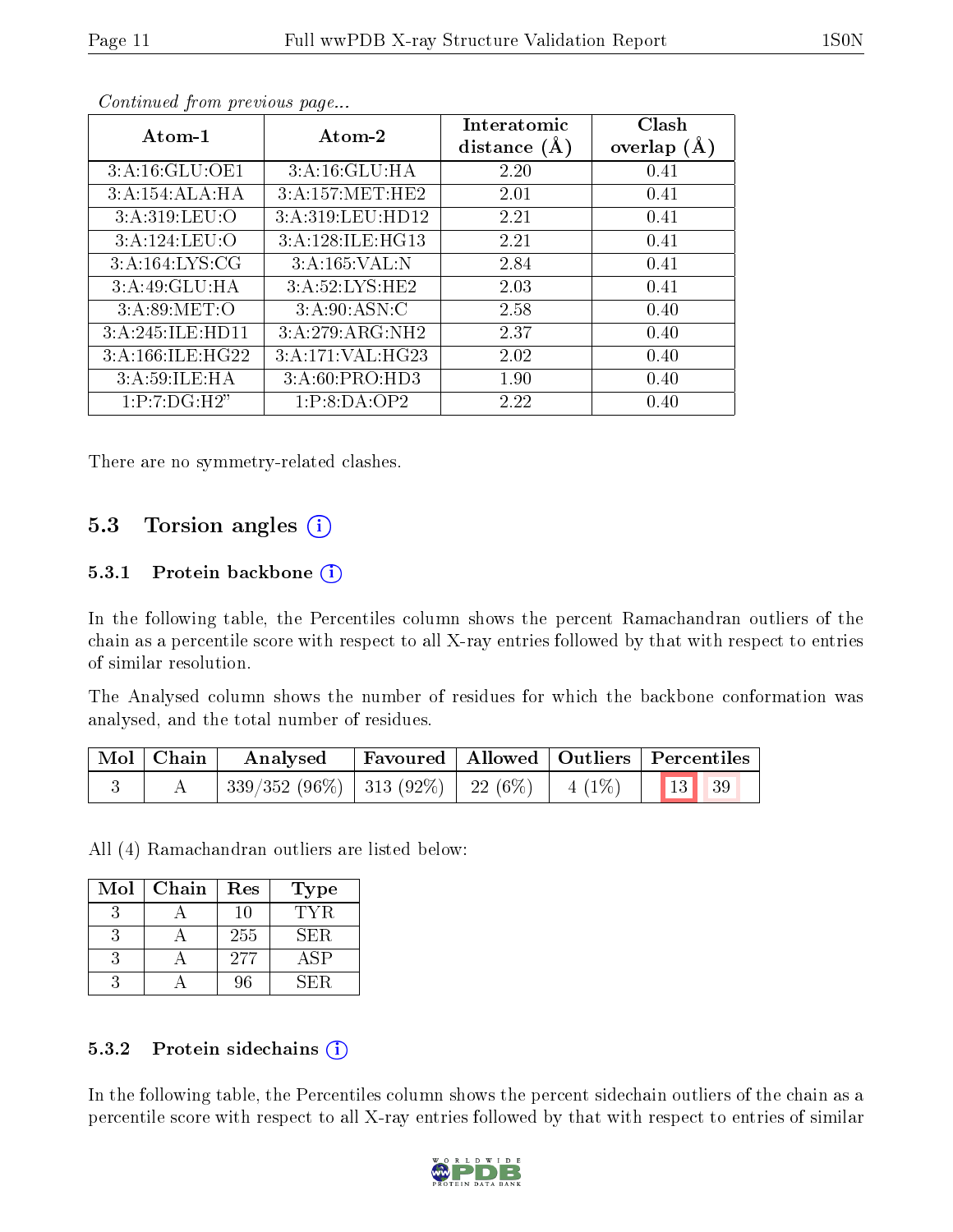| Atom-1           | Atom-2           | Interatomic<br>distance $(A)$ | Clash<br>overlap $(A)$ |
|------------------|------------------|-------------------------------|------------------------|
| 3:A:16:GLU:OE1   | 3:A:16:GLU:HA    | 2.20                          | 0.41                   |
| 3:A:154:ALA:HA   | 3:A:157:MET:HE2  | 2.01                          | 0.41                   |
| 3:A:319:LEU:O    | 3:A:319:LEU:HD12 | 2.21                          | 0.41                   |
| 3:A:124:LEU:O    | 3:A:128:ILE:HG13 | 2.21                          | 0.41                   |
| 3:A:164:LYS:CG   | 3:A:165:VAL:N    | 2.84                          | 0.41                   |
| 3:A:49:GLU:HA    | 3:A:52:LYS:HE2   | 2.03                          | 0.41                   |
| 3: A:89:MET:O    | 3: A:90: ASN: C  | 2.58                          | 0.40                   |
| 3:A:245:ILE:HD11 | 3:A:279:ARG:NH2  | 2.37                          | 0.40                   |
| 3:A:166:ILE:HG22 | 3:A:171:VAL:HG23 | 2.02                          | 0.40                   |
| 3: A:59: ILE: HA | 3:A:60:PRO:HD3   | 1.90                          | 0.40                   |
| 1:P:7:DG:H2"     | 1:P:8:DA:OP2     | 2.22                          | 0.40                   |

Continued from previous page...

There are no symmetry-related clashes.

### 5.3 Torsion angles (i)

#### 5.3.1 Protein backbone  $(i)$

In the following table, the Percentiles column shows the percent Ramachandran outliers of the chain as a percentile score with respect to all X-ray entries followed by that with respect to entries of similar resolution.

The Analysed column shows the number of residues for which the backbone conformation was analysed, and the total number of residues.

| Mol   Chain | Analysed                                                  | Favoured   Allowed   Outliers   Percentiles |  |  |
|-------------|-----------------------------------------------------------|---------------------------------------------|--|--|
|             | $^+$ 339/352 (96%)   313 (92%)   22 (6%)   4 (1%)   13 39 |                                             |  |  |

All (4) Ramachandran outliers are listed below:

| Mol | Chain | Res | Type       |
|-----|-------|-----|------------|
|     |       | 10  | TYR.       |
|     |       | 255 | <b>SER</b> |
|     |       | 277 | ASP        |
|     |       | 96  | NH∶H       |

#### 5.3.2 Protein sidechains  $(i)$

In the following table, the Percentiles column shows the percent sidechain outliers of the chain as a percentile score with respect to all X-ray entries followed by that with respect to entries of similar

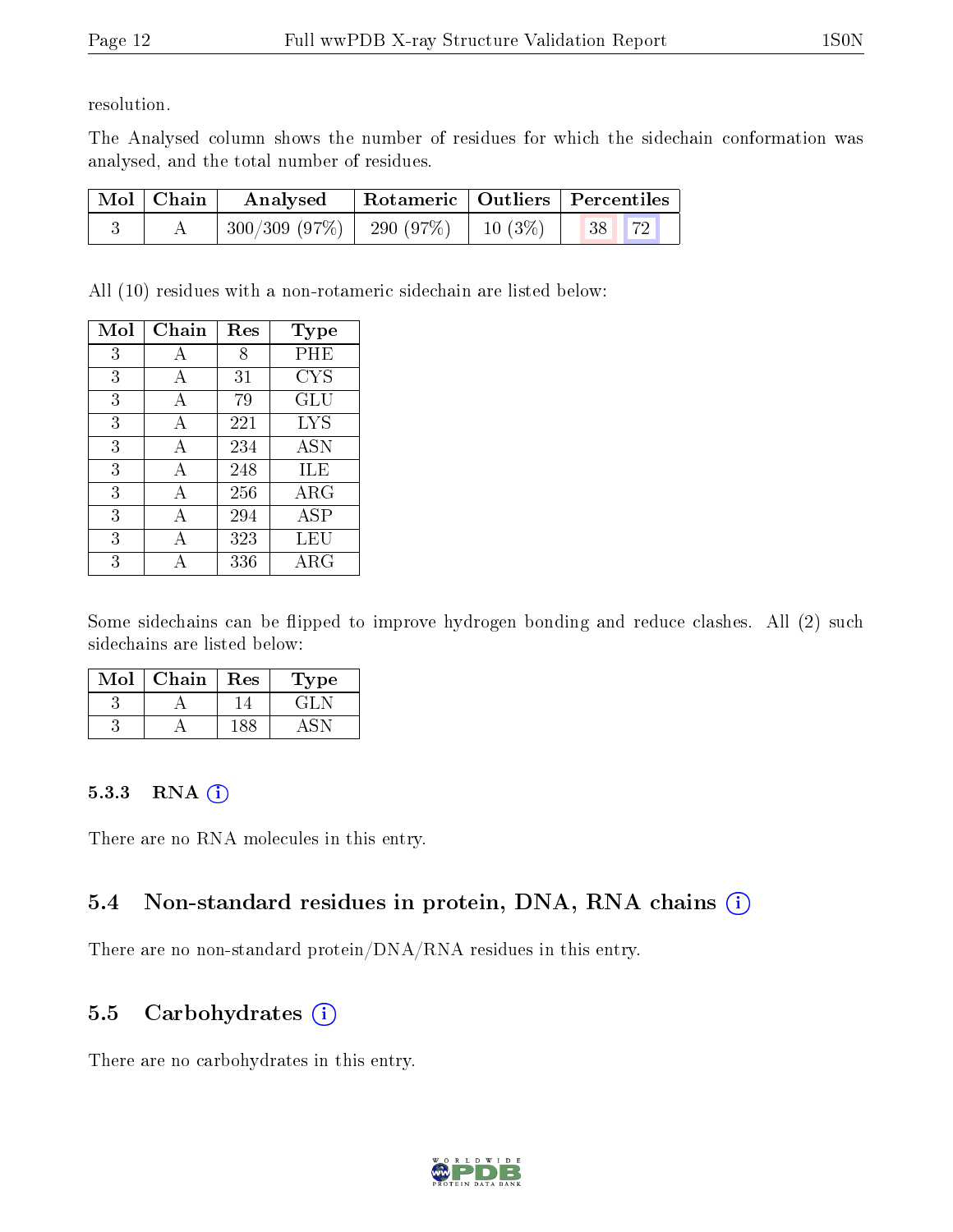resolution.

The Analysed column shows the number of residues for which the sidechain conformation was analysed, and the total number of residues.

| Mol   Chain | Analysed                                                    | Rotameric   Outliers   Percentiles |       |  |
|-------------|-------------------------------------------------------------|------------------------------------|-------|--|
|             | $\mid$ 300/309 (97%) $\mid$ 290 (97%) $\mid$ 10 (3%) $\mid$ |                                    | 38 72 |  |

All (10) residues with a non-rotameric sidechain are listed below:

| Mol | Chain | Res | Type                 |
|-----|-------|-----|----------------------|
| 3   |       | 8   | PHE                  |
| 3   | А     | 31  | <b>CYS</b>           |
| 3   | A     | 79  | $\operatorname{GLU}$ |
| 3   | A     | 221 | <b>LYS</b>           |
| 3   | A     | 234 | <b>ASN</b>           |
| 3   | А     | 248 | ILE                  |
| 3   | А     | 256 | ${\rm ARG}$          |
| 3   | А     | 294 | ASP                  |
| 3   | А     | 323 | LEU                  |
| 3   |       | 336 | ${\rm ARG}$          |

Some sidechains can be flipped to improve hydrogen bonding and reduce clashes. All (2) such sidechains are listed below:

| Mol | Chain | Res | Type    |
|-----|-------|-----|---------|
|     |       |     | $\pm 1$ |
|     |       |     |         |

#### 5.3.3 RNA [O](https://www.wwpdb.org/validation/2017/XrayValidationReportHelp#rna)i

There are no RNA molecules in this entry.

## 5.4 Non-standard residues in protein, DNA, RNA chains (i)

There are no non-standard protein/DNA/RNA residues in this entry.

### 5.5 Carbohydrates  $(i)$

There are no carbohydrates in this entry.

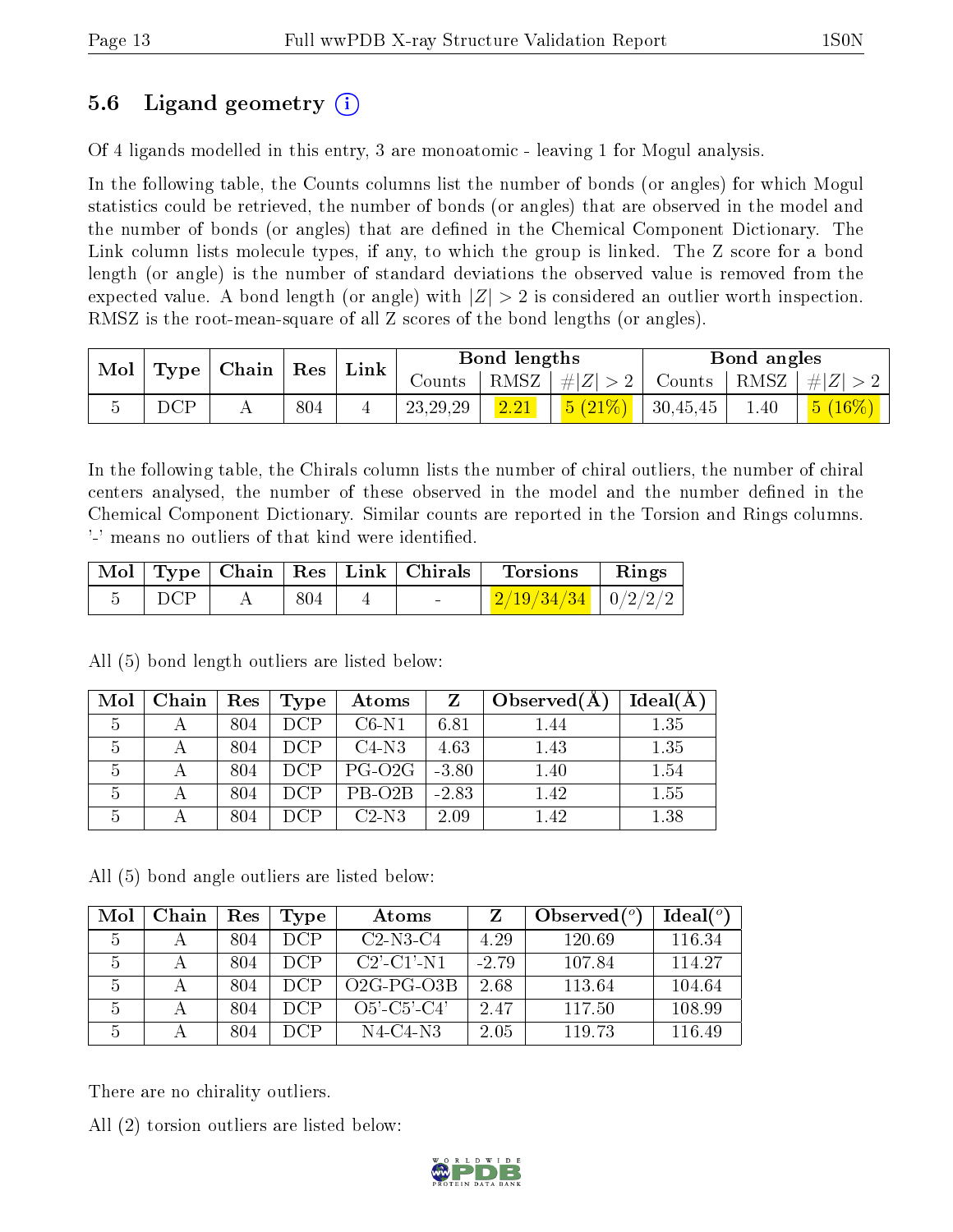## 5.6 Ligand geometry (i)

Of 4 ligands modelled in this entry, 3 are monoatomic - leaving 1 for Mogul analysis.

In the following table, the Counts columns list the number of bonds (or angles) for which Mogul statistics could be retrieved, the number of bonds (or angles) that are observed in the model and the number of bonds (or angles) that are dened in the Chemical Component Dictionary. The Link column lists molecule types, if any, to which the group is linked. The Z score for a bond length (or angle) is the number of standard deviations the observed value is removed from the expected value. A bond length (or angle) with  $|Z| > 2$  is considered an outlier worth inspection. RMSZ is the root-mean-square of all Z scores of the bond lengths (or angles).

| $\vert$ Type $\vert$ Chain $\vert$ Res $\vert$ Link<br>$\text{Mol}$ |     | Bond lengths |            |      | Bond angles                                    |                                     |      |                     |
|---------------------------------------------------------------------|-----|--------------|------------|------|------------------------------------------------|-------------------------------------|------|---------------------|
|                                                                     |     |              | Counts -   |      | $ RMSZ  \#  Z  > 2  $                          | $\perp$ Counts   RMSZ   $\# Z  > 2$ |      |                     |
|                                                                     | DCP | 804          | 23, 29, 29 | 2.21 | $\left  \frac{5(21\%)}{21\%} \right $ 30,45,45 |                                     | 1.40 | $\frac{5(16\%)}{2}$ |

In the following table, the Chirals column lists the number of chiral outliers, the number of chiral centers analysed, the number of these observed in the model and the number defined in the Chemical Component Dictionary. Similar counts are reported in the Torsion and Rings columns. '-' means no outliers of that kind were identified.

|     |     | Mol   Type   Chain   Res   Link   Chirals | Torsions                                | $\parallel$ Rings |
|-----|-----|-------------------------------------------|-----------------------------------------|-------------------|
| DCP | 804 |                                           | $\mid$ 2/19/34/34 $\mid$ 0/2/2/2 $\mid$ |                   |

 $\mathrm{Mol}\mid\mathrm{Chain}\mid\mathrm{Res}\mid\mathrm{Type}\mid\mathrm{\;Atoms}\mid\mathrm{\;Z}\mid\mathrm{Observed}(\mathrm{A})\mid\mathrm{Ideal}(\mathrm{A})$  | A | 804 | DCP | C6-N1 | 6.81 | 1.44 | 1.35 | A | 804 | DCP | C4-N3 | 4.63 | 1.43 | 1.35 5 A 804 DCP PG-O2G -3.80 1.40 1.54 | A | 804 | DCP | PB-O2B | -2.83 | 1.42 | 1.55 | A | 804 | DCP | C2-N3 | 2.09 | 1.42 | 1.38

All (5) bond length outliers are listed below:

All (5) bond angle outliers are listed below:

| Mol | Chain | Res | Type       | Atoms          |         | Observed $(^\circ)$ | Ideal(°) |
|-----|-------|-----|------------|----------------|---------|---------------------|----------|
| 5   |       | 804 | DCP.       | $C2-N3-C4$     | 4.29    | 120.69              | 116.34   |
| 5   |       | 804 | DCP.       | $C2'$ -C1'-N1  | $-2.79$ | 107.84              | 114.27   |
| 5   |       | 804 | DCP        | $O2G-PG-O3B$   | 2.68    | 113.64              | 104.64   |
| 5   |       | 804 | <b>DCP</b> | $O5'$ -C5'-C4' | 2.47    | 117.50              | 108.99   |
| 5   |       | 804 | DCP.       | $N4-C4-N3$     | 2.05    | 119.73              | 116.49   |

There are no chirality outliers.

All (2) torsion outliers are listed below:

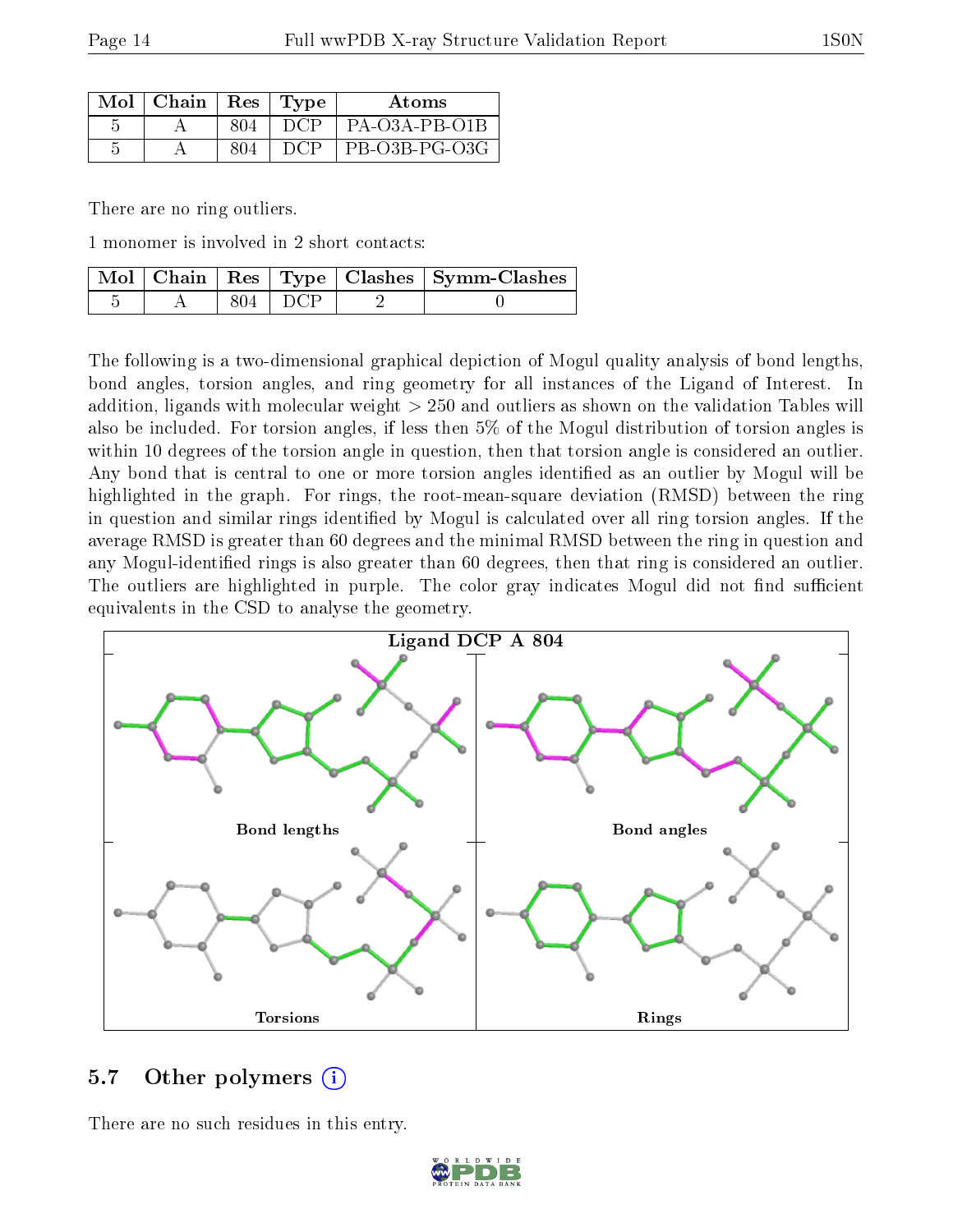| $Mol$   Chain   Res   Type |     |     | Atoms         |
|----------------------------|-----|-----|---------------|
|                            | 804 | DCP | PA-03A-PB-01B |
|                            | 804 | DCP | PB-O3B-PG-O3G |

There are no ring outliers.

1 monomer is involved in 2 short contacts:

|  |           | Mol   Chain   Res   Type   Clashes   Symm-Clashes |
|--|-----------|---------------------------------------------------|
|  | $804$ DCP |                                                   |

The following is a two-dimensional graphical depiction of Mogul quality analysis of bond lengths, bond angles, torsion angles, and ring geometry for all instances of the Ligand of Interest. In addition, ligands with molecular weight > 250 and outliers as shown on the validation Tables will also be included. For torsion angles, if less then 5% of the Mogul distribution of torsion angles is within 10 degrees of the torsion angle in question, then that torsion angle is considered an outlier. Any bond that is central to one or more torsion angles identified as an outlier by Mogul will be highlighted in the graph. For rings, the root-mean-square deviation (RMSD) between the ring in question and similar rings identified by Mogul is calculated over all ring torsion angles. If the average RMSD is greater than 60 degrees and the minimal RMSD between the ring in question and any Mogul-identified rings is also greater than 60 degrees, then that ring is considered an outlier. The outliers are highlighted in purple. The color gray indicates Mogul did not find sufficient equivalents in the CSD to analyse the geometry.



### 5.7 [O](https://www.wwpdb.org/validation/2017/XrayValidationReportHelp#nonstandard_residues_and_ligands)ther polymers  $(i)$

There are no such residues in this entry.

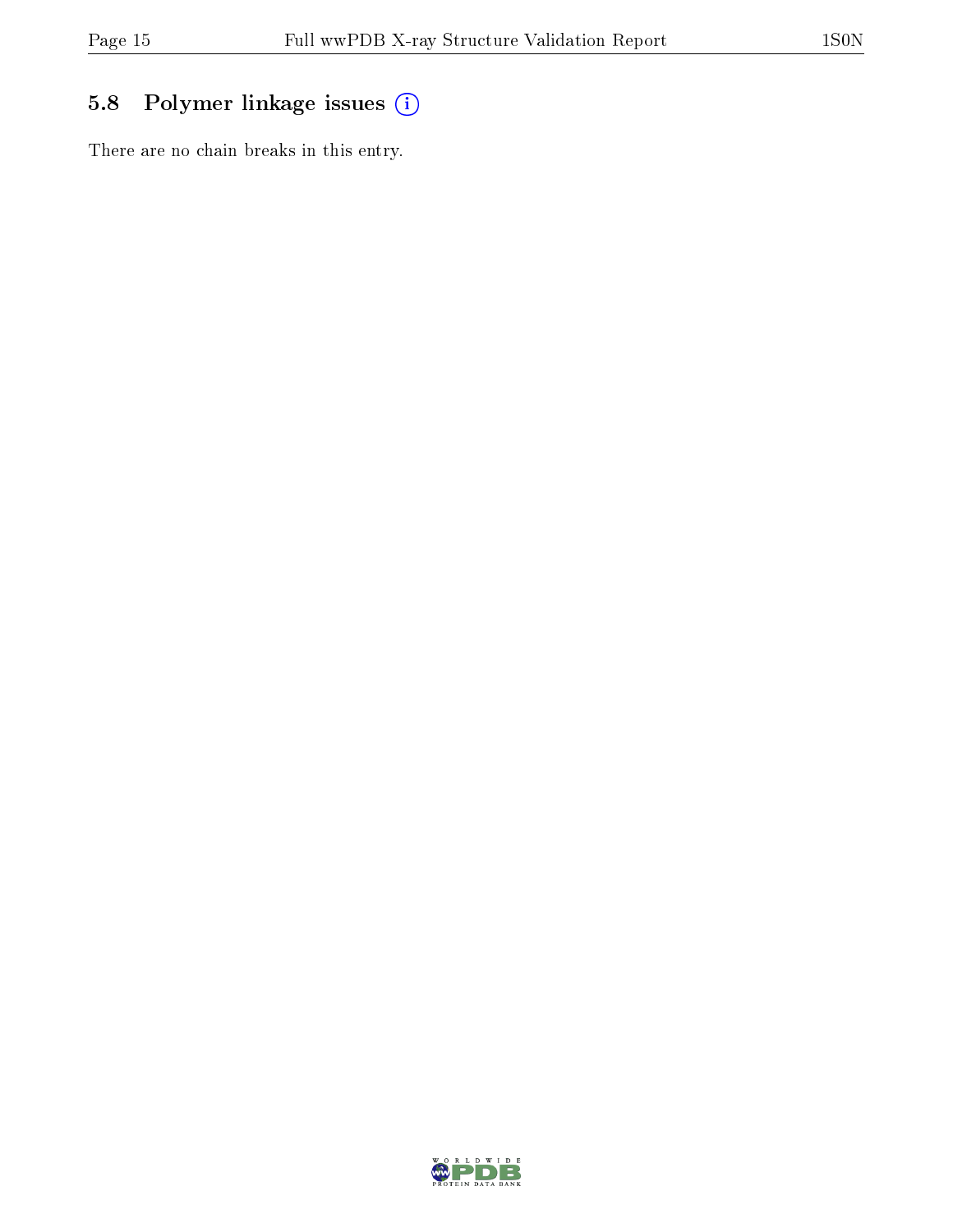# 5.8 Polymer linkage issues (i)

There are no chain breaks in this entry.

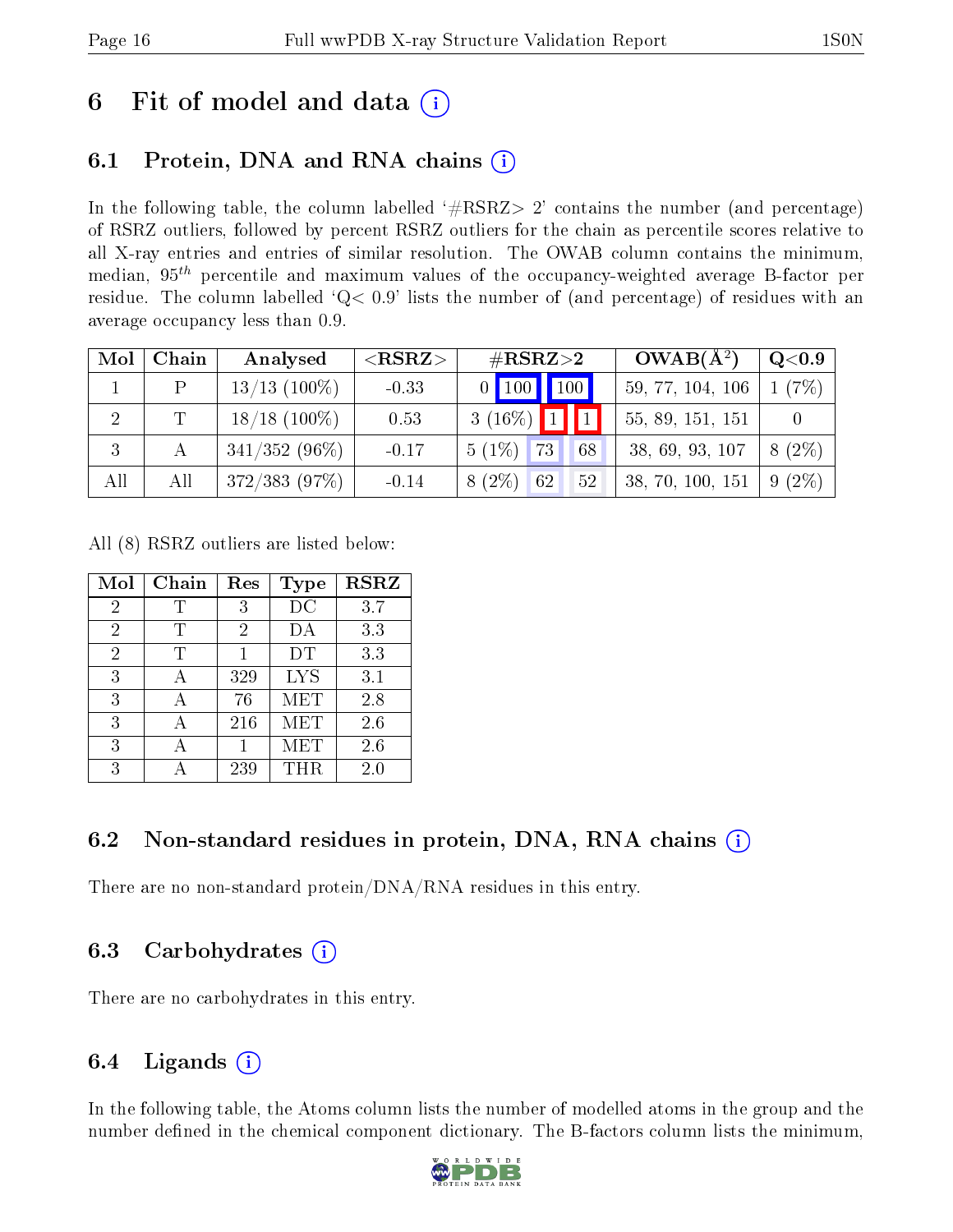# 6 Fit of model and data  $(i)$

# 6.1 Protein, DNA and RNA chains (i)

In the following table, the column labelled  $#RSRZ>2'$  contains the number (and percentage) of RSRZ outliers, followed by percent RSRZ outliers for the chain as percentile scores relative to all X-ray entries and entries of similar resolution. The OWAB column contains the minimum, median,  $95<sup>th</sup>$  percentile and maximum values of the occupancy-weighted average B-factor per residue. The column labelled ' $Q< 0.9$ ' lists the number of (and percentage) of residues with an average occupancy less than 0.9.

| Mol            | Chain | Analysed        | ${ <\hspace{-1.5pt}{\mathrm{RSRZ}} \hspace{-1.5pt}>}$ | $\#\mathrm{RSRZ}{>}2$                                 | $OWAB(A^2)$      | $\rm Q\textcolor{black}{<}0.9$ |
|----------------|-------|-----------------|-------------------------------------------------------|-------------------------------------------------------|------------------|--------------------------------|
|                | P     | $13/13$ (100\%) | $-0.33$                                               | $0\begin{array}{ c c c }\n\hline\n100\end{array}$ 100 | 59, 77, 104, 106 | 1(7%)                          |
| $\overline{2}$ | T.    | $18/18$ (100%)  | 0.53                                                  | $3(16\%)$ 1 1                                         | 55, 89, 151, 151 |                                |
| -3             |       | $341/352(96\%)$ | $-0.17$                                               | $5(1\%)$<br>73<br>68                                  | 38, 69, 93, 107  | $8(2\%)$                       |
| All            | All   | 372/383(97%)    | $-0.14$                                               | $8(2\%)$<br>62<br>52                                  | 38, 70, 100, 151 | $9(2\%)$                       |

All (8) RSRZ outliers are listed below:

| Mol            | Chain | Res            | <b>Type</b>    | <b>RSRZ</b> |
|----------------|-------|----------------|----------------|-------------|
| 2              | Т     | 3              | DC             | 3.7         |
| $\overline{2}$ | Т     | $\overline{2}$ | DА             | 3.3         |
| $\overline{2}$ | T     |                | DT             | 3.3         |
| 3              |       | 329            | L <sub>Y</sub> | 3.1         |
| 3              |       | 76             | MET            | 2.8         |
| 3              |       | 216            | <b>MET</b>     | $2.6\,$     |
| 3              |       |                | MET            | 2.6         |
| 3              |       | 239            | THR.           | 2.0         |

### 6.2 Non-standard residues in protein, DNA, RNA chains  $(i)$

There are no non-standard protein/DNA/RNA residues in this entry.

### 6.3 Carbohydrates (i)

There are no carbohydrates in this entry.

### 6.4 Ligands  $(i)$

In the following table, the Atoms column lists the number of modelled atoms in the group and the number defined in the chemical component dictionary. The B-factors column lists the minimum,